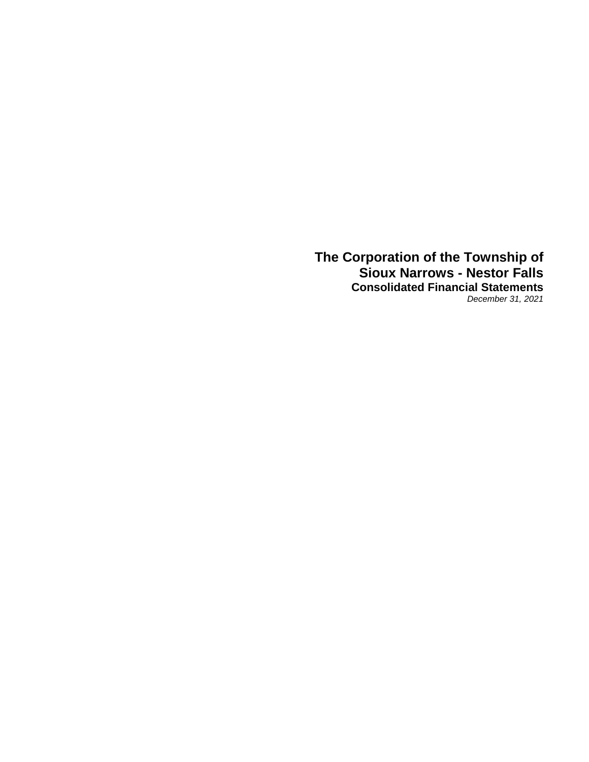**The Corporation of the Township of Sioux Narrows - Nestor Falls Consolidated Financial Statements** *December 31, 2021*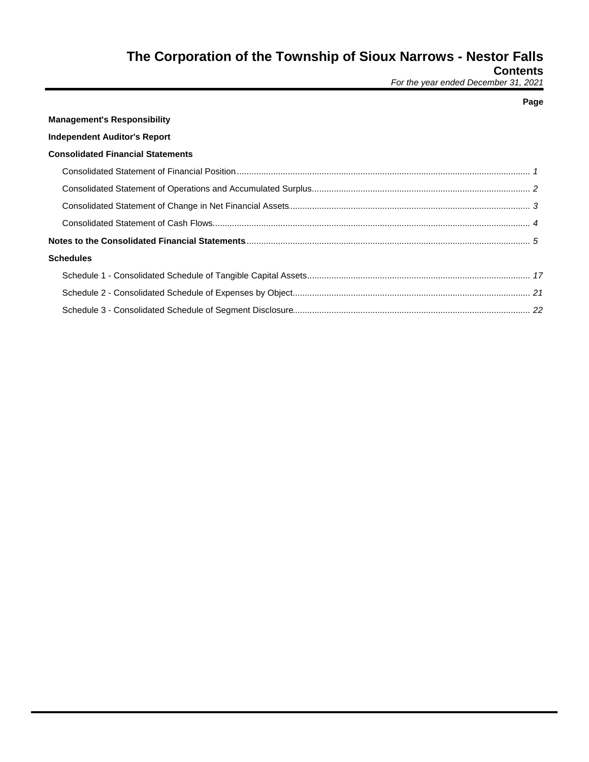**Contents** 

For the year ended December 31, 2021

## Page

| <b>Management's Responsibility</b>       |  |
|------------------------------------------|--|
| <b>Independent Auditor's Report</b>      |  |
| <b>Consolidated Financial Statements</b> |  |
|                                          |  |
|                                          |  |
|                                          |  |
|                                          |  |
|                                          |  |
| <b>Schedules</b>                         |  |
|                                          |  |
|                                          |  |
|                                          |  |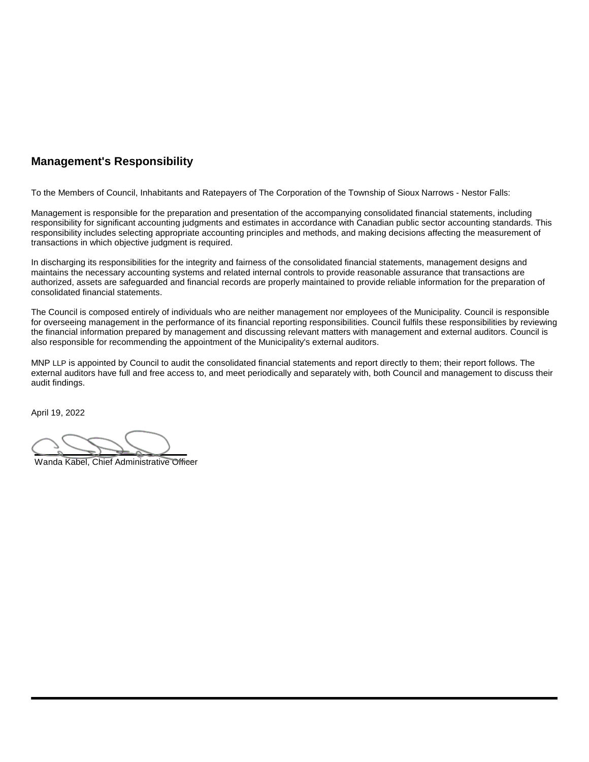## **Management's Responsibility**

To the Members of Council, Inhabitants and Ratepayers of The Corporation of the Township of Sioux Narrows - Nestor Falls:

Management is responsible for the preparation and presentation of the accompanying consolidated financial statements, including responsibility for significant accounting judgments and estimates in accordance with Canadian public sector accounting standards. This responsibility includes selecting appropriate accounting principles and methods, and making decisions affecting the measurement of transactions in which objective judgment is required.

In discharging its responsibilities for the integrity and fairness of the consolidated financial statements, management designs and maintains the necessary accounting systems and related internal controls to provide reasonable assurance that transactions are authorized, assets are safeguarded and financial records are properly maintained to provide reliable information for the preparation of consolidated financial statements.

The Council is composed entirely of individuals who are neither management nor employees of the Municipality. Council is responsible for overseeing management in the performance of its financial reporting responsibilities. Council fulfils these responsibilities by reviewing the financial information prepared by management and discussing relevant matters with management and external auditors. Council is also responsible for recommending the appointment of the Municipality's external auditors.

MNP LLP is appointed by Council to audit the consolidated financial statements and report directly to them; their report follows. The external auditors have full and free access to, and meet periodically and separately with, both Council and management to discuss their audit findings.

April 19, 2022

Wanda Kabel, Chief Administrative Officer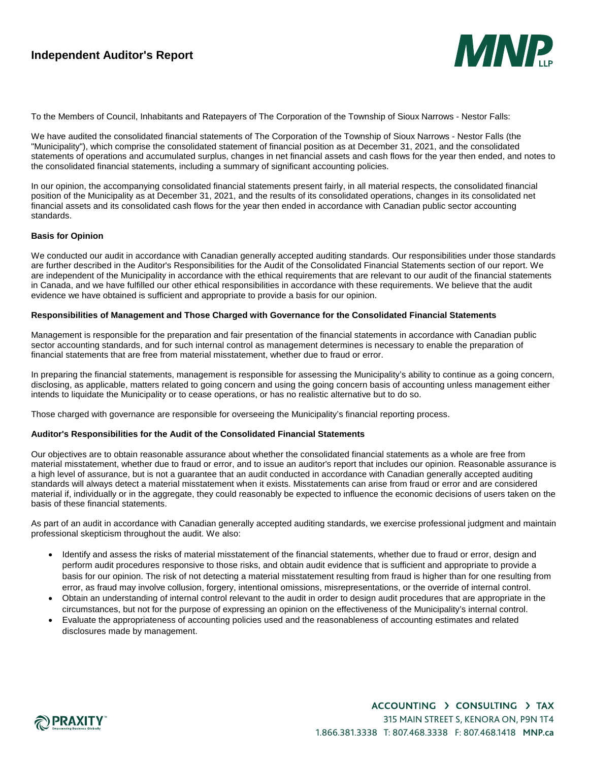## **Independent Auditor's Report**



To the Members of Council, Inhabitants and Ratepayers of The Corporation of the Township of Sioux Narrows - Nestor Falls:

We have audited the consolidated financial statements of The Corporation of the Township of Sioux Narrows - Nestor Falls (the "Municipality"), which comprise the consolidated statement of financial position as at December 31, 2021, and the consolidated statements of operations and accumulated surplus, changes in net financial assets and cash flows for the year then ended, and notes to the consolidated financial statements, including a summary of significant accounting policies.

In our opinion, the accompanying consolidated financial statements present fairly, in all material respects, the consolidated financial position of the Municipality as at December 31, 2021, and the results of its consolidated operations, changes in its consolidated net financial assets and its consolidated cash flows for the year then ended in accordance with Canadian public sector accounting standards.

#### **Basis for Opinion**

We conducted our audit in accordance with Canadian generally accepted auditing standards. Our responsibilities under those standards are further described in the Auditor's Responsibilities for the Audit of the Consolidated Financial Statements section of our report. We are independent of the Municipality in accordance with the ethical requirements that are relevant to our audit of the financial statements in Canada, and we have fulfilled our other ethical responsibilities in accordance with these requirements. We believe that the audit evidence we have obtained is sufficient and appropriate to provide a basis for our opinion.

#### **Responsibilities of Management and Those Charged with Governance for the Consolidated Financial Statements**

Management is responsible for the preparation and fair presentation of the financial statements in accordance with Canadian public sector accounting standards, and for such internal control as management determines is necessary to enable the preparation of financial statements that are free from material misstatement, whether due to fraud or error.

In preparing the financial statements, management is responsible for assessing the Municipality's ability to continue as a going concern, disclosing, as applicable, matters related to going concern and using the going concern basis of accounting unless management either intends to liquidate the Municipality or to cease operations, or has no realistic alternative but to do so.

Those charged with governance are responsible for overseeing the Municipality's financial reporting process.

## **Auditor's Responsibilities for the Audit of the Consolidated Financial Statements**

Our objectives are to obtain reasonable assurance about whether the consolidated financial statements as a whole are free from material misstatement, whether due to fraud or error, and to issue an auditor's report that includes our opinion. Reasonable assurance is a high level of assurance, but is not a guarantee that an audit conducted in accordance with Canadian generally accepted auditing standards will always detect a material misstatement when it exists. Misstatements can arise from fraud or error and are considered material if, individually or in the aggregate, they could reasonably be expected to influence the economic decisions of users taken on the basis of these financial statements.

As part of an audit in accordance with Canadian generally accepted auditing standards, we exercise professional judgment and maintain professional skepticism throughout the audit. We also:

- Identify and assess the risks of material misstatement of the financial statements, whether due to fraud or error, design and perform audit procedures responsive to those risks, and obtain audit evidence that is sufficient and appropriate to provide a basis for our opinion. The risk of not detecting a material misstatement resulting from fraud is higher than for one resulting from error, as fraud may involve collusion, forgery, intentional omissions, misrepresentations, or the override of internal control.
- Obtain an understanding of internal control relevant to the audit in order to design audit procedures that are appropriate in the circumstances, but not for the purpose of expressing an opinion on the effectiveness of the Municipality's internal control.
- Evaluate the appropriateness of accounting policies used and the reasonableness of accounting estimates and related disclosures made by management.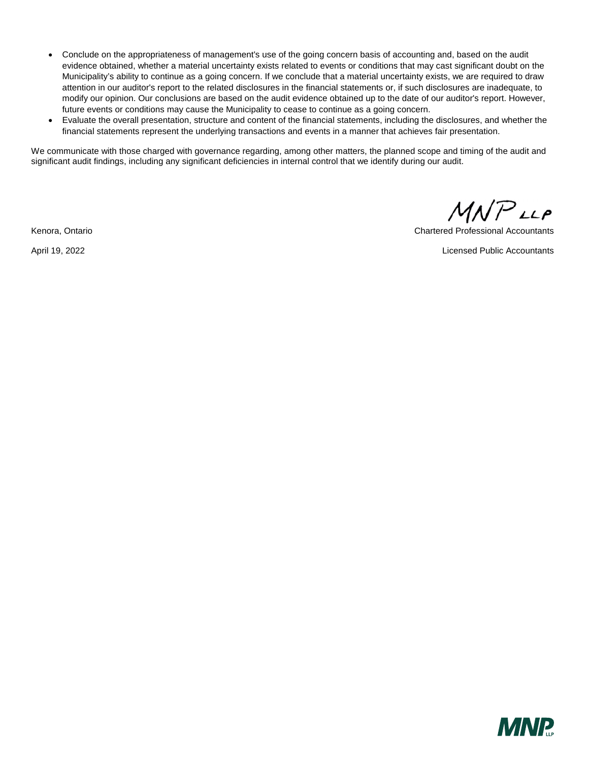- Conclude on the appropriateness of management's use of the going concern basis of accounting and, based on the audit evidence obtained, whether a material uncertainty exists related to events or conditions that may cast significant doubt on the Municipality's ability to continue as a going concern. If we conclude that a material uncertainty exists, we are required to draw attention in our auditor's report to the related disclosures in the financial statements or, if such disclosures are inadequate, to modify our opinion. Our conclusions are based on the audit evidence obtained up to the date of our auditor's report. However, future events or conditions may cause the Municipality to cease to continue as a going concern.
- Evaluate the overall presentation, structure and content of the financial statements, including the disclosures, and whether the financial statements represent the underlying transactions and events in a manner that achieves fair presentation.

We communicate with those charged with governance regarding, among other matters, the planned scope and timing of the audit and significant audit findings, including any significant deficiencies in internal control that we identify during our audit.

Kenora, Ontario Chartered Professional Accountants

April 19, 2022 Licensed Public Accountants

**MNPLLP** 

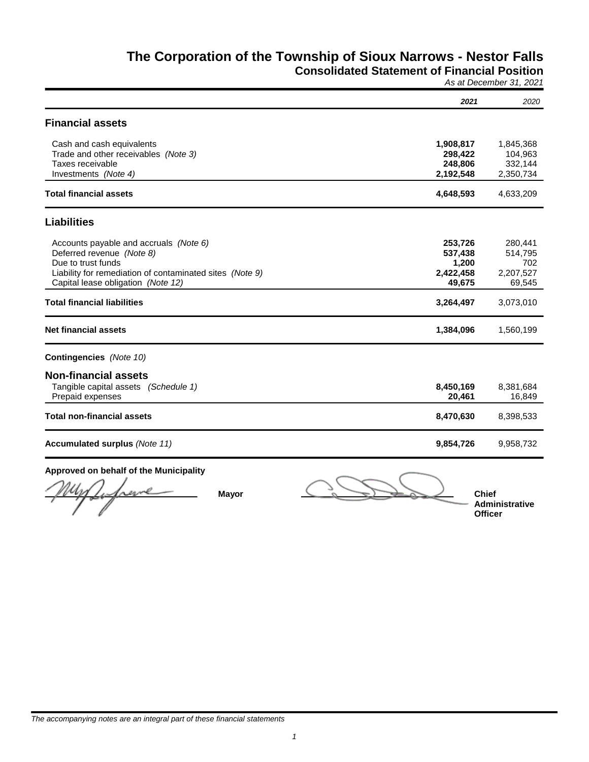**Consolidated Statement of Financial Position**

*As at December 31, 2021*

|                                                                                                                                                                                             | 2021                                               | 2020                                             |
|---------------------------------------------------------------------------------------------------------------------------------------------------------------------------------------------|----------------------------------------------------|--------------------------------------------------|
| <b>Financial assets</b>                                                                                                                                                                     |                                                    |                                                  |
| Cash and cash equivalents<br>Trade and other receivables (Note 3)<br>Taxes receivable<br>Investments (Note 4)                                                                               | 1,908,817<br>298,422<br>248,806<br>2,192,548       | 1,845,368<br>104,963<br>332,144<br>2,350,734     |
| <b>Total financial assets</b>                                                                                                                                                               | 4,648,593                                          | 4,633,209                                        |
| <b>Liabilities</b>                                                                                                                                                                          |                                                    |                                                  |
| Accounts payable and accruals (Note 6)<br>Deferred revenue (Note 8)<br>Due to trust funds<br>Liability for remediation of contaminated sites (Note 9)<br>Capital lease obligation (Note 12) | 253,726<br>537,438<br>1,200<br>2,422,458<br>49,675 | 280,441<br>514,795<br>702<br>2,207,527<br>69,545 |
| <b>Total financial liabilities</b>                                                                                                                                                          | 3,264,497                                          | 3,073,010                                        |
| <b>Net financial assets</b>                                                                                                                                                                 | 1,384,096                                          | 1,560,199                                        |
| Contingencies (Note 10)                                                                                                                                                                     |                                                    |                                                  |
| <b>Non-financial assets</b><br>Tangible capital assets (Schedule 1)<br>Prepaid expenses                                                                                                     | 8,450,169<br>20,461                                | 8,381,684<br>16,849                              |
| <b>Total non-financial assets</b>                                                                                                                                                           | 8,470,630                                          | 8,398,533                                        |
| Accumulated surplus (Note 11)                                                                                                                                                               | 9,854,726                                          | 9,958,732                                        |
| Approved on behalf of the Municipality                                                                                                                                                      |                                                    |                                                  |

**Mayor Chief** 

**Administrative Officer**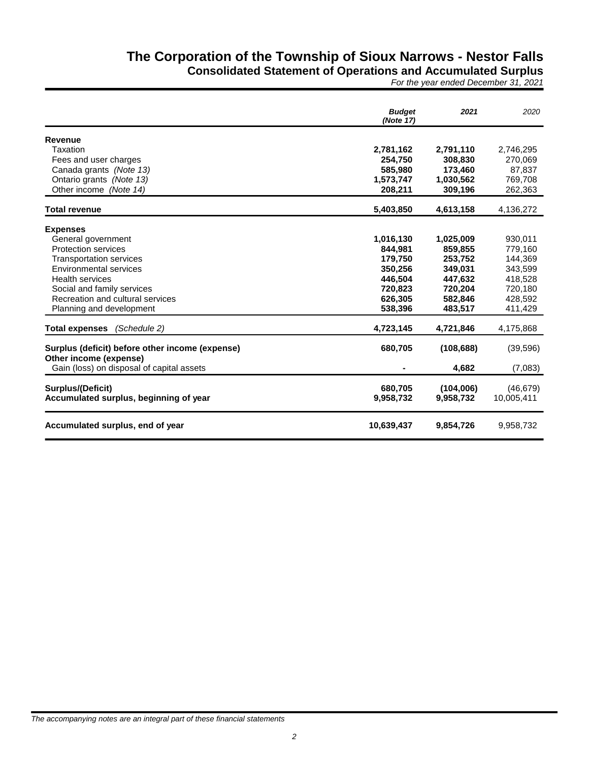## **Consolidated Statement of Operations and Accumulated Surplus**

|                                                                           | <b>Budget</b><br>(Note 17) | 2021       | 2020       |
|---------------------------------------------------------------------------|----------------------------|------------|------------|
| Revenue                                                                   |                            |            |            |
| Taxation                                                                  | 2,781,162                  | 2,791,110  | 2,746,295  |
| Fees and user charges                                                     | 254,750                    | 308,830    | 270,069    |
| Canada grants (Note 13)                                                   | 585,980                    | 173,460    | 87,837     |
| Ontario grants (Note 13)                                                  | 1,573,747                  | 1,030,562  | 769,708    |
| Other income (Note 14)                                                    | 208,211                    | 309,196    | 262,363    |
| <b>Total revenue</b>                                                      | 5,403,850                  | 4,613,158  | 4,136,272  |
| <b>Expenses</b>                                                           |                            |            |            |
| General government                                                        | 1,016,130                  | 1,025,009  | 930,011    |
| <b>Protection services</b>                                                | 844.981                    | 859,855    | 779,160    |
| <b>Transportation services</b>                                            | 179,750                    | 253,752    | 144,369    |
| <b>Environmental services</b>                                             | 350,256                    | 349,031    | 343,599    |
| <b>Health services</b>                                                    | 446,504                    | 447,632    | 418,528    |
| Social and family services                                                | 720,823                    | 720,204    | 720,180    |
| Recreation and cultural services                                          | 626,305                    | 582,846    | 428,592    |
| Planning and development                                                  | 538,396                    | 483,517    | 411,429    |
| (Schedule 2)<br><b>Total expenses</b>                                     | 4,723,145                  | 4,721,846  | 4,175,868  |
| Surplus (deficit) before other income (expense)<br>Other income (expense) | 680,705                    | (108, 688) | (39,596)   |
| Gain (loss) on disposal of capital assets                                 |                            | 4,682      | (7,083)    |
| Surplus/(Deficit)                                                         | 680,705                    | (104,006)  | (46, 679)  |
| Accumulated surplus, beginning of year                                    | 9,958,732                  | 9,958,732  | 10,005,411 |
| Accumulated surplus, end of year                                          | 10,639,437                 | 9,854,726  | 9,958,732  |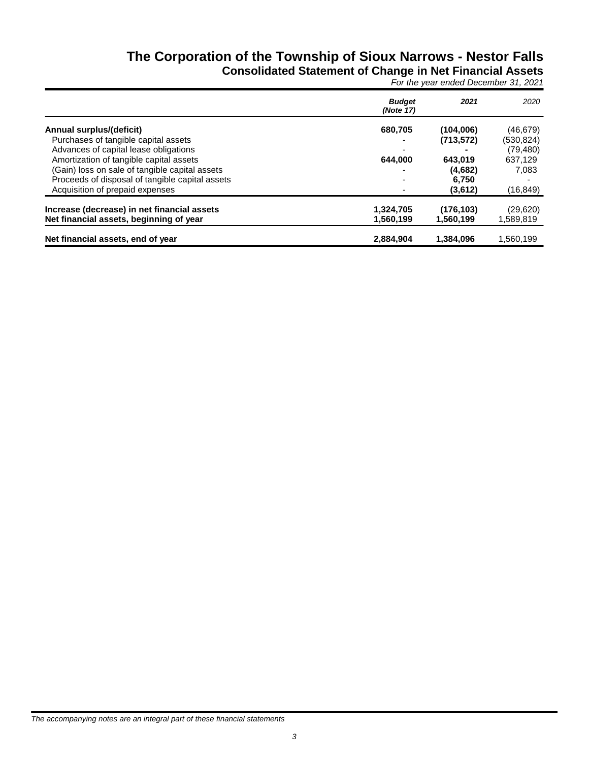## **The Corporation of the Township of Sioux Narrows - Nestor Falls Consolidated Statement of Change in Net Financial Assets**

*For the year ended December 31, 2021*

|                                                                                    | <b>Budget</b><br>(Note 17) | 2021             | 2020       |
|------------------------------------------------------------------------------------|----------------------------|------------------|------------|
| Annual surplus/(deficit)                                                           | 680,705                    | (104.006)        | (46, 679)  |
| Purchases of tangible capital assets                                               |                            | (713, 572)       | (530, 824) |
| Advances of capital lease obligations                                              | 644.000                    | -                | (79, 480)  |
| Amortization of tangible capital assets                                            |                            | 643.019          | 637.129    |
| (Gain) loss on sale of tangible capital assets                                     |                            | (4,682)          | 7,083      |
| Proceeds of disposal of tangible capital assets<br>Acquisition of prepaid expenses |                            | 6.750<br>(3,612) | (16, 849)  |
| Increase (decrease) in net financial assets                                        | 1,324,705                  | (176, 103)       | (29, 620)  |
| Net financial assets, beginning of year                                            | 1,560,199                  | 1,560,199        | 1,589,819  |
| Net financial assets, end of year                                                  | 2.884.904                  | 1.384.096        | 1.560.199  |

#### *The accompanying notes are an integral part of these financial statements*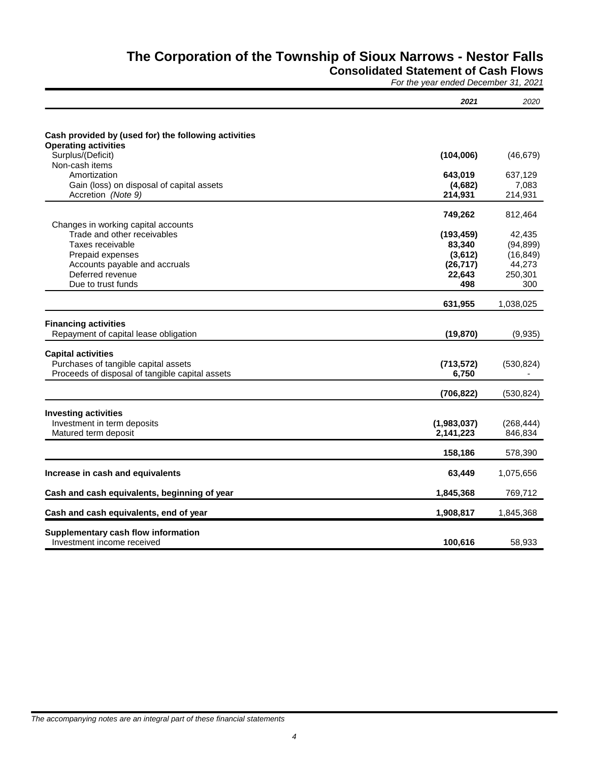**Consolidated Statement of Cash Flows**

|                                                      | 2021        | 2020       |
|------------------------------------------------------|-------------|------------|
|                                                      |             |            |
| Cash provided by (used for) the following activities |             |            |
| <b>Operating activities</b>                          |             |            |
| Surplus/(Deficit)                                    | (104,006)   | (46, 679)  |
| Non-cash items                                       |             |            |
| Amortization                                         | 643,019     | 637,129    |
| Gain (loss) on disposal of capital assets            | (4,682)     | 7,083      |
| Accretion (Note 9)                                   | 214,931     | 214,931    |
|                                                      | 749,262     | 812,464    |
| Changes in working capital accounts                  |             |            |
| Trade and other receivables                          | (193, 459)  | 42,435     |
| Taxes receivable                                     | 83,340      | (94, 899)  |
| Prepaid expenses                                     | (3,612)     | (16, 849)  |
| Accounts payable and accruals                        | (26, 717)   | 44,273     |
| Deferred revenue                                     | 22,643      | 250,301    |
| Due to trust funds                                   | 498         | 300        |
|                                                      | 631,955     | 1,038,025  |
|                                                      |             |            |
| <b>Financing activities</b>                          |             |            |
| Repayment of capital lease obligation                | (19, 870)   | (9,935)    |
| <b>Capital activities</b>                            |             |            |
| Purchases of tangible capital assets                 | (713, 572)  | (530, 824) |
| Proceeds of disposal of tangible capital assets      | 6,750       |            |
|                                                      |             |            |
|                                                      | (706, 822)  | (530, 824) |
| <b>Investing activities</b>                          |             |            |
| Investment in term deposits                          | (1,983,037) | (268, 444) |
| Matured term deposit                                 | 2,141,223   | 846,834    |
|                                                      |             |            |
|                                                      | 158,186     | 578,390    |
| Increase in cash and equivalents                     | 63,449      | 1,075,656  |
|                                                      |             |            |
| Cash and cash equivalents, beginning of year         | 1,845,368   | 769,712    |
| Cash and cash equivalents, end of year               | 1,908,817   | 1,845,368  |
|                                                      |             |            |
| Supplementary cash flow information                  |             |            |
| Investment income received                           | 100,616     | 58.933     |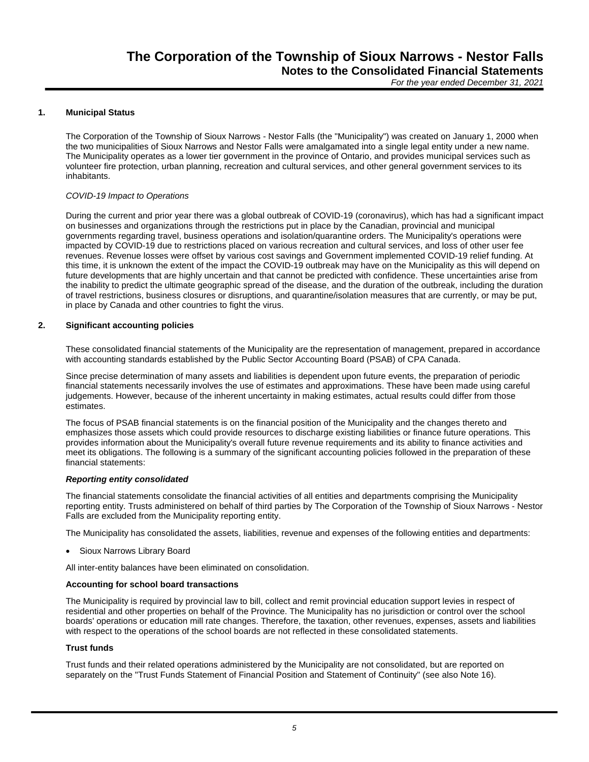## **1. Municipal Status**

The Corporation of the Township of Sioux Narrows - Nestor Falls (the "Municipality") was created on January 1, 2000 when the two municipalities of Sioux Narrows and Nestor Falls were amalgamated into a single legal entity under a new name. The Municipality operates as a lower tier government in the province of Ontario, and provides municipal services such as volunteer fire protection, urban planning, recreation and cultural services, and other general government services to its inhabitants.

## *COVID-19 Impact to Operations*

During the current and prior year there was a global outbreak of COVID-19 (coronavirus), which has had a significant impact on businesses and organizations through the restrictions put in place by the Canadian, provincial and municipal governments regarding travel, business operations and isolation/quarantine orders. The Municipality's operations were impacted by COVID-19 due to restrictions placed on various recreation and cultural services, and loss of other user fee revenues. Revenue losses were offset by various cost savings and Government implemented COVID-19 relief funding. At this time, it is unknown the extent of the impact the COVID-19 outbreak may have on the Municipality as this will depend on future developments that are highly uncertain and that cannot be predicted with confidence. These uncertainties arise from the inability to predict the ultimate geographic spread of the disease, and the duration of the outbreak, including the duration of travel restrictions, business closures or disruptions, and quarantine/isolation measures that are currently, or may be put, in place by Canada and other countries to fight the virus.

## **2. Significant accounting policies**

These consolidated financial statements of the Municipality are the representation of management, prepared in accordance with accounting standards established by the Public Sector Accounting Board (PSAB) of CPA Canada.

Since precise determination of many assets and liabilities is dependent upon future events, the preparation of periodic financial statements necessarily involves the use of estimates and approximations. These have been made using careful judgements. However, because of the inherent uncertainty in making estimates, actual results could differ from those estimates.

The focus of PSAB financial statements is on the financial position of the Municipality and the changes thereto and emphasizes those assets which could provide resources to discharge existing liabilities or finance future operations. This provides information about the Municipality's overall future revenue requirements and its ability to finance activities and meet its obligations. The following is a summary of the significant accounting policies followed in the preparation of these financial statements:

## *Reporting entity consolidated*

The financial statements consolidate the financial activities of all entities and departments comprising the Municipality reporting entity. Trusts administered on behalf of third parties by The Corporation of the Township of Sioux Narrows - Nestor Falls are excluded from the Municipality reporting entity.

The Municipality has consolidated the assets, liabilities, revenue and expenses of the following entities and departments:

Sioux Narrows Library Board

All inter-entity balances have been eliminated on consolidation.

## **Accounting for school board transactions**

The Municipality is required by provincial law to bill, collect and remit provincial education support levies in respect of residential and other properties on behalf of the Province. The Municipality has no jurisdiction or control over the school boards' operations or education mill rate changes. Therefore, the taxation, other revenues, expenses, assets and liabilities with respect to the operations of the school boards are not reflected in these consolidated statements.

## **Trust funds**

Trust funds and their related operations administered by the Municipality are not consolidated, but are reported on separately on the "Trust Funds Statement of Financial Position and Statement of Continuity" (see also Note 16).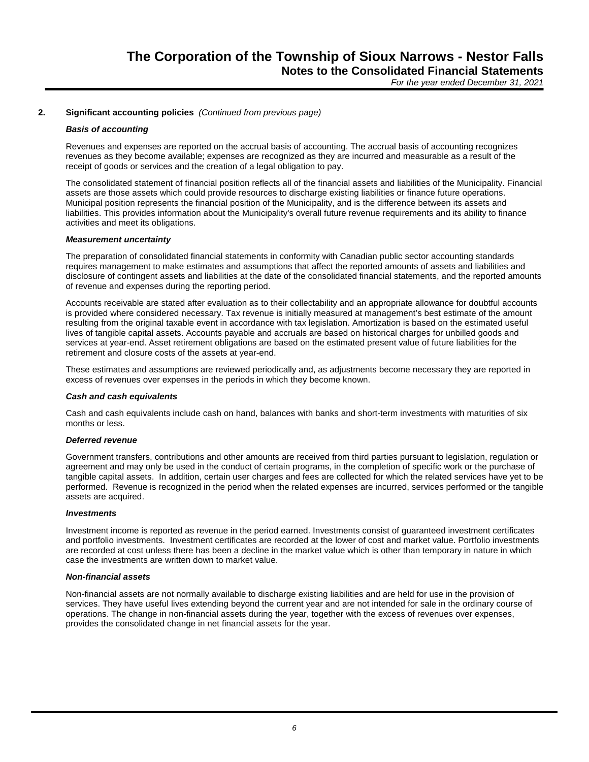## **2. Significant accounting policies** *(Continued from previous page)*

#### *Basis of accounting*

Revenues and expenses are reported on the accrual basis of accounting. The accrual basis of accounting recognizes revenues as they become available; expenses are recognized as they are incurred and measurable as a result of the receipt of goods or services and the creation of a legal obligation to pay.

The consolidated statement of financial position reflects all of the financial assets and liabilities of the Municipality. Financial assets are those assets which could provide resources to discharge existing liabilities or finance future operations. Municipal position represents the financial position of the Municipality, and is the difference between its assets and liabilities. This provides information about the Municipality's overall future revenue requirements and its ability to finance activities and meet its obligations.

#### *Measurement uncertainty*

The preparation of consolidated financial statements in conformity with Canadian public sector accounting standards requires management to make estimates and assumptions that affect the reported amounts of assets and liabilities and disclosure of contingent assets and liabilities at the date of the consolidated financial statements, and the reported amounts of revenue and expenses during the reporting period.

Accounts receivable are stated after evaluation as to their collectability and an appropriate allowance for doubtful accounts is provided where considered necessary. Tax revenue is initially measured at management's best estimate of the amount resulting from the original taxable event in accordance with tax legislation. Amortization is based on the estimated useful lives of tangible capital assets. Accounts payable and accruals are based on historical charges for unbilled goods and services at year-end. Asset retirement obligations are based on the estimated present value of future liabilities for the retirement and closure costs of the assets at year-end.

These estimates and assumptions are reviewed periodically and, as adjustments become necessary they are reported in excess of revenues over expenses in the periods in which they become known.

#### *Cash and cash equivalents*

Cash and cash equivalents include cash on hand, balances with banks and short-term investments with maturities of six months or less.

## *Deferred revenue*

Government transfers, contributions and other amounts are received from third parties pursuant to legislation, regulation or agreement and may only be used in the conduct of certain programs, in the completion of specific work or the purchase of tangible capital assets. In addition, certain user charges and fees are collected for which the related services have yet to be performed. Revenue is recognized in the period when the related expenses are incurred, services performed or the tangible assets are acquired.

#### *Investments*

Investment income is reported as revenue in the period earned. Investments consist of guaranteed investment certificates and portfolio investments. Investment certificates are recorded at the lower of cost and market value. Portfolio investments are recorded at cost unless there has been a decline in the market value which is other than temporary in nature in which case the investments are written down to market value.

#### *Non-financial assets*

Non-financial assets are not normally available to discharge existing liabilities and are held for use in the provision of services. They have useful lives extending beyond the current year and are not intended for sale in the ordinary course of operations. The change in non-financial assets during the year, together with the excess of revenues over expenses, provides the consolidated change in net financial assets for the year.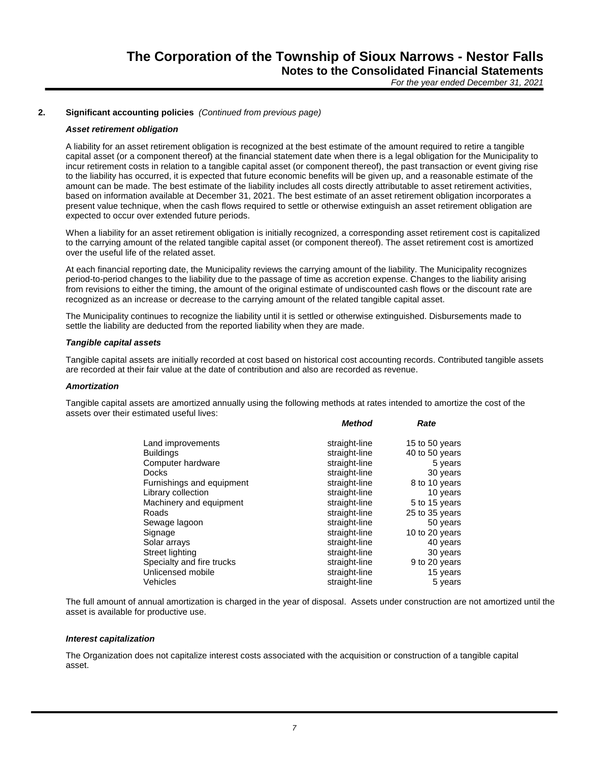### **2. Significant accounting policies** *(Continued from previous page)*

#### *Asset retirement obligation*

A liability for an asset retirement obligation is recognized at the best estimate of the amount required to retire a tangible capital asset (or a component thereof) at the financial statement date when there is a legal obligation for the Municipality to incur retirement costs in relation to a tangible capital asset (or component thereof), the past transaction or event giving rise to the liability has occurred, it is expected that future economic benefits will be given up, and a reasonable estimate of the amount can be made. The best estimate of the liability includes all costs directly attributable to asset retirement activities, based on information available at December 31, 2021. The best estimate of an asset retirement obligation incorporates a present value technique, when the cash flows required to settle or otherwise extinguish an asset retirement obligation are expected to occur over extended future periods.

When a liability for an asset retirement obligation is initially recognized, a corresponding asset retirement cost is capitalized to the carrying amount of the related tangible capital asset (or component thereof). The asset retirement cost is amortized over the useful life of the related asset.

At each financial reporting date, the Municipality reviews the carrying amount of the liability. The Municipality recognizes period-to-period changes to the liability due to the passage of time as accretion expense. Changes to the liability arising from revisions to either the timing, the amount of the original estimate of undiscounted cash flows or the discount rate are recognized as an increase or decrease to the carrying amount of the related tangible capital asset.

The Municipality continues to recognize the liability until it is settled or otherwise extinguished. Disbursements made to settle the liability are deducted from the reported liability when they are made.

#### *Tangible capital assets*

Tangible capital assets are initially recorded at cost based on historical cost accounting records. Contributed tangible assets are recorded at their fair value at the date of contribution and also are recorded as revenue.

*Method Rate*

#### *Amortization*

Tangible capital assets are amortized annually using the following methods at rates intended to amortize the cost of the assets over their estimated useful lives:

| Land improvements         | straight-line | 15 to 50 years |
|---------------------------|---------------|----------------|
| <b>Buildings</b>          | straight-line | 40 to 50 years |
| Computer hardware         | straight-line | 5 years        |
| <b>Docks</b>              | straight-line | 30 years       |
| Furnishings and equipment | straight-line | 8 to 10 years  |
| Library collection        | straight-line | 10 years       |
| Machinery and equipment   | straight-line | 5 to 15 years  |
| Roads                     | straight-line | 25 to 35 years |
| Sewage lagoon             | straight-line | 50 years       |
| Signage                   | straight-line | 10 to 20 years |
| Solar arrays              | straight-line | 40 years       |
| Street lighting           | straight-line | 30 years       |
| Specialty and fire trucks | straight-line | 9 to 20 years  |
| Unlicensed mobile         | straight-line | 15 years       |
| Vehicles                  | straight-line | 5 years        |

The full amount of annual amortization is charged in the year of disposal. Assets under construction are not amortized until the asset is available for productive use.

#### *Interest capitalization*

The Organization does not capitalize interest costs associated with the acquisition or construction of a tangible capital asset.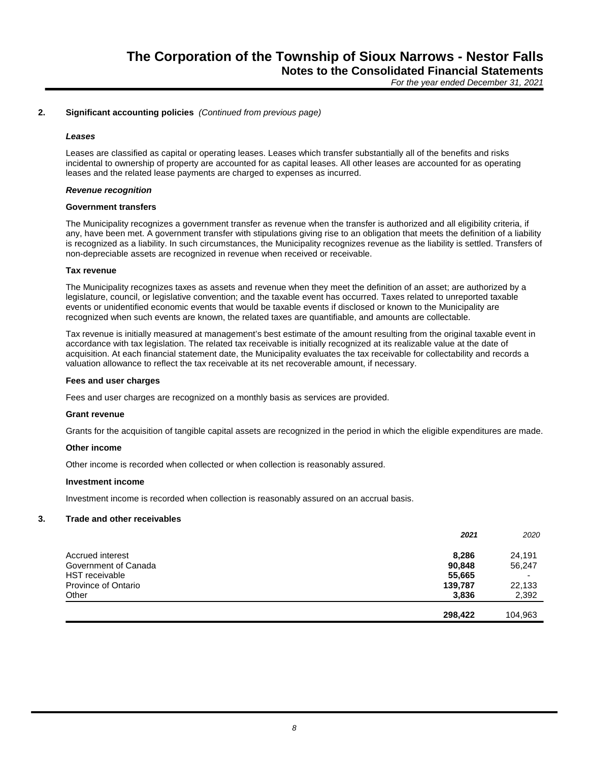## **2. Significant accounting policies** *(Continued from previous page)*

#### *Leases*

Leases are classified as capital or operating leases. Leases which transfer substantially all of the benefits and risks incidental to ownership of property are accounted for as capital leases. All other leases are accounted for as operating leases and the related lease payments are charged to expenses as incurred.

#### *Revenue recognition*

#### **Government transfers**

The Municipality recognizes a government transfer as revenue when the transfer is authorized and all eligibility criteria, if any, have been met. A government transfer with stipulations giving rise to an obligation that meets the definition of a liability is recognized as a liability. In such circumstances, the Municipality recognizes revenue as the liability is settled. Transfers of non-depreciable assets are recognized in revenue when received or receivable.

## **Tax revenue**

The Municipality recognizes taxes as assets and revenue when they meet the definition of an asset; are authorized by a legislature, council, or legislative convention; and the taxable event has occurred. Taxes related to unreported taxable events or unidentified economic events that would be taxable events if disclosed or known to the Municipality are recognized when such events are known, the related taxes are quantifiable, and amounts are collectable.

Tax revenue is initially measured at management's best estimate of the amount resulting from the original taxable event in accordance with tax legislation. The related tax receivable is initially recognized at its realizable value at the date of acquisition. At each financial statement date, the Municipality evaluates the tax receivable for collectability and records a valuation allowance to reflect the tax receivable at its net recoverable amount, if necessary.

#### **Fees and user charges**

Fees and user charges are recognized on a monthly basis as services are provided.

#### **Grant revenue**

Grants for the acquisition of tangible capital assets are recognized in the period in which the eligible expenditures are made.

#### **Other income**

Other income is recorded when collected or when collection is reasonably assured.

#### **Investment income**

Investment income is recorded when collection is reasonably assured on an accrual basis.

#### **3. Trade and other receivables**

|                      | 2021    | 2020                     |
|----------------------|---------|--------------------------|
| Accrued interest     | 8,286   | 24,191                   |
| Government of Canada | 90,848  | 56,247                   |
| HST receivable       | 55,665  | $\overline{\phantom{0}}$ |
| Province of Ontario  | 139,787 | 22,133                   |
| Other                | 3,836   | 2,392                    |
|                      | 298,422 | 104,963                  |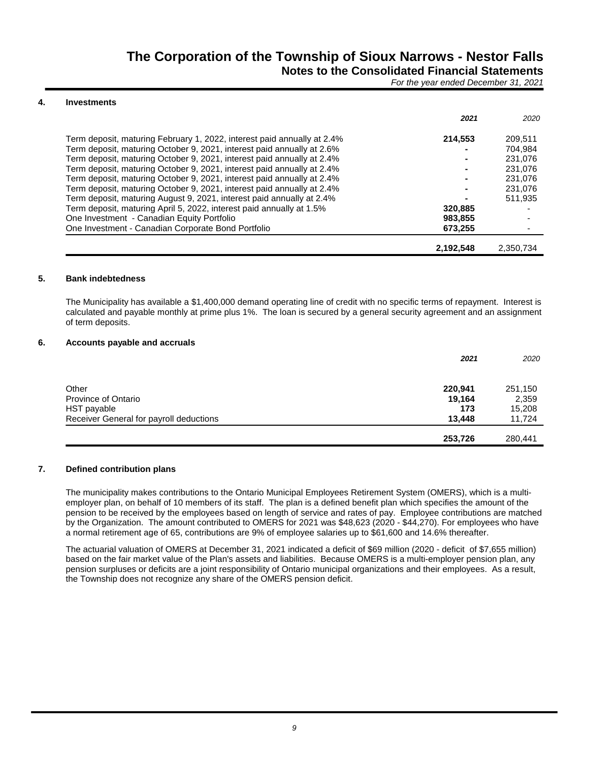**Notes to the Consolidated Financial Statements**

*For the year ended December 31, 2021*

#### **4. Investments**

|                                                                         | 2021      | 2020      |
|-------------------------------------------------------------------------|-----------|-----------|
| Term deposit, maturing February 1, 2022, interest paid annually at 2.4% | 214,553   | 209.511   |
| Term deposit, maturing October 9, 2021, interest paid annually at 2.6%  |           | 704.984   |
| Term deposit, maturing October 9, 2021, interest paid annually at 2.4%  |           | 231.076   |
| Term deposit, maturing October 9, 2021, interest paid annually at 2.4%  |           | 231.076   |
| Term deposit, maturing October 9, 2021, interest paid annually at 2.4%  |           | 231.076   |
| Term deposit, maturing October 9, 2021, interest paid annually at 2.4%  |           | 231.076   |
| Term deposit, maturing August 9, 2021, interest paid annually at 2.4%   |           | 511.935   |
| Term deposit, maturing April 5, 2022, interest paid annually at 1.5%    | 320,885   |           |
| One Investment - Canadian Equity Portfolio                              | 983.855   |           |
| One Investment - Canadian Corporate Bond Portfolio                      | 673.255   |           |
|                                                                         | 2,192,548 | 2.350.734 |

## **5. Bank indebtedness**

The Municipality has available a \$1,400,000 demand operating line of credit with no specific terms of repayment. Interest is calculated and payable monthly at prime plus 1%. The loan is secured by a general security agreement and an assignment of term deposits.

## **6. Accounts payable and accruals**

|                                                                                        | 2021                               | 2020                                 |
|----------------------------------------------------------------------------------------|------------------------------------|--------------------------------------|
| Other<br>Province of Ontario<br>HST payable<br>Receiver General for payroll deductions | 220,941<br>19,164<br>173<br>13.448 | 251,150<br>2,359<br>15,208<br>11,724 |
|                                                                                        | 253,726                            | 280,441                              |

## **7. Defined contribution plans**

The municipality makes contributions to the Ontario Municipal Employees Retirement System (OMERS), which is a multiemployer plan, on behalf of 10 members of its staff. The plan is a defined benefit plan which specifies the amount of the pension to be received by the employees based on length of service and rates of pay. Employee contributions are matched by the Organization. The amount contributed to OMERS for 2021 was \$48,623 (2020 - \$44,270). For employees who have a normal retirement age of 65, contributions are 9% of employee salaries up to \$61,600 and 14.6% thereafter.

The actuarial valuation of OMERS at December 31, 2021 indicated a deficit of \$69 million (2020 - deficit of \$7,655 million) based on the fair market value of the Plan's assets and liabilities. Because OMERS is a multi-employer pension plan, any pension surpluses or deficits are a joint responsibility of Ontario municipal organizations and their employees. As a result, the Township does not recognize any share of the OMERS pension deficit.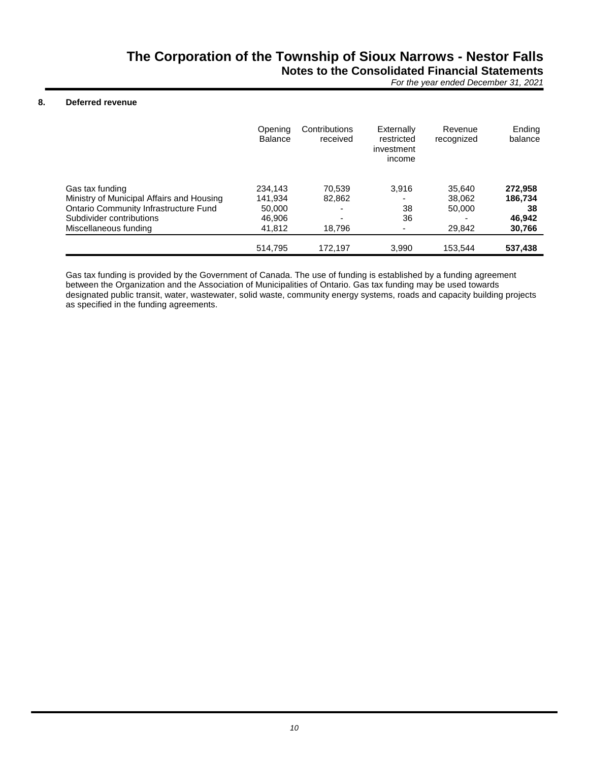## **8. Deferred revenue**

|                                              | Opening<br><b>Balance</b> | Contributions<br>received | Externally<br>restricted<br>investment<br>income | Revenue<br>recognized | Ending<br>balance |
|----------------------------------------------|---------------------------|---------------------------|--------------------------------------------------|-----------------------|-------------------|
| Gas tax funding                              | 234,143                   | 70.539                    | 3.916                                            | 35,640                | 272,958           |
| Ministry of Municipal Affairs and Housing    | 141,934                   | 82,862                    |                                                  | 38,062                | 186,734           |
| <b>Ontario Community Infrastructure Fund</b> | 50,000                    | -                         | 38                                               | 50,000                | 38                |
| Subdivider contributions                     | 46,906                    |                           | 36                                               |                       | 46,942            |
| Miscellaneous funding                        | 41,812                    | 18,796                    |                                                  | 29,842                | 30,766            |
|                                              | 514,795                   | 172,197                   | 3.990                                            | 153.544               | 537.438           |

Gas tax funding is provided by the Government of Canada. The use of funding is established by a funding agreement between the Organization and the Association of Municipalities of Ontario. Gas tax funding may be used towards designated public transit, water, wastewater, solid waste, community energy systems, roads and capacity building projects as specified in the funding agreements.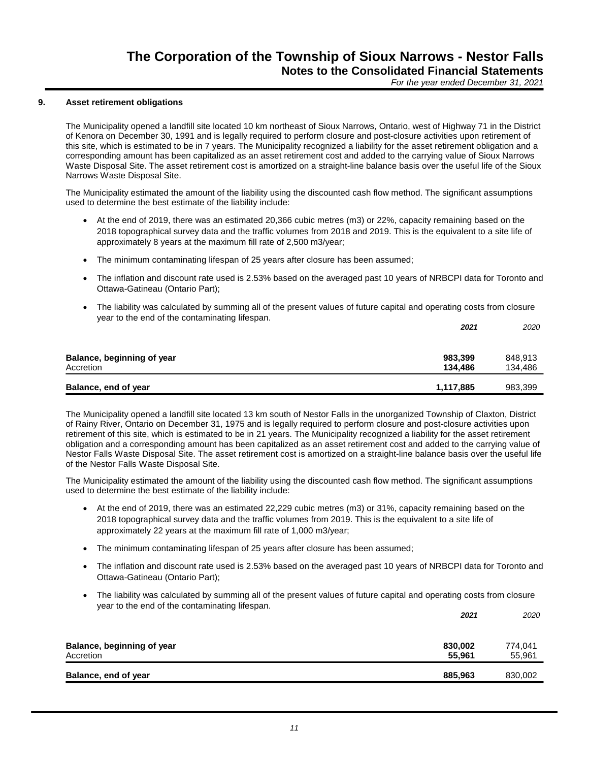**Notes to the Consolidated Financial Statements**

*For the year ended December 31, 2021*

#### **9. Asset retirement obligations**

The Municipality opened a landfill site located 10 km northeast of Sioux Narrows, Ontario, west of Highway 71 in the District of Kenora on December 30, 1991 and is legally required to perform closure and post-closure activities upon retirement of this site, which is estimated to be in 7 years. The Municipality recognized a liability for the asset retirement obligation and a corresponding amount has been capitalized as an asset retirement cost and added to the carrying value of Sioux Narrows Waste Disposal Site. The asset retirement cost is amortized on a straight-line balance basis over the useful life of the Sioux Narrows Waste Disposal Site.

The Municipality estimated the amount of the liability using the discounted cash flow method. The significant assumptions used to determine the best estimate of the liability include:

- At the end of 2019, there was an estimated 20,366 cubic metres (m3) or 22%, capacity remaining based on the 2018 topographical survey data and the traffic volumes from 2018 and 2019. This is the equivalent to a site life of approximately 8 years at the maximum fill rate of 2,500 m3/year;
- The minimum contaminating lifespan of 25 years after closure has been assumed;
- The inflation and discount rate used is 2.53% based on the averaged past 10 years of NRBCPI data for Toronto and Ottawa-Gatineau (Ontario Part);
- The liability was calculated by summing all of the present values of future capital and operating costs from closure year to the end of the contaminating lifespan.

| Balance, end of year                    | 1,117,885          | 983,399            |
|-----------------------------------------|--------------------|--------------------|
| Balance, beginning of year<br>Accretion | 983,399<br>134,486 | 848,913<br>134.486 |
|                                         | 2021               | 2020               |

The Municipality opened a landfill site located 13 km south of Nestor Falls in the unorganized Township of Claxton, District of Rainy River, Ontario on December 31, 1975 and is legally required to perform closure and post-closure activities upon retirement of this site, which is estimated to be in 21 years. The Municipality recognized a liability for the asset retirement obligation and a corresponding amount has been capitalized as an asset retirement cost and added to the carrying value of Nestor Falls Waste Disposal Site. The asset retirement cost is amortized on a straight-line balance basis over the useful life of the Nestor Falls Waste Disposal Site.

The Municipality estimated the amount of the liability using the discounted cash flow method. The significant assumptions used to determine the best estimate of the liability include:

- At the end of 2019, there was an estimated 22,229 cubic metres (m3) or 31%, capacity remaining based on the 2018 topographical survey data and the traffic volumes from 2019. This is the equivalent to a site life of approximately 22 years at the maximum fill rate of 1,000 m3/year;
- The minimum contaminating lifespan of 25 years after closure has been assumed;
- The inflation and discount rate used is 2.53% based on the averaged past 10 years of NRBCPI data for Toronto and Ottawa-Gatineau (Ontario Part);
- The liability was calculated by summing all of the present values of future capital and operating costs from closure year to the end of the contaminating lifespan.

| Balance, end of year                    | 885,963           | 830,002           |
|-----------------------------------------|-------------------|-------------------|
| Balance, beginning of year<br>Accretion | 830,002<br>55,961 | 774,041<br>55,961 |
|                                         | 2021              | 2020              |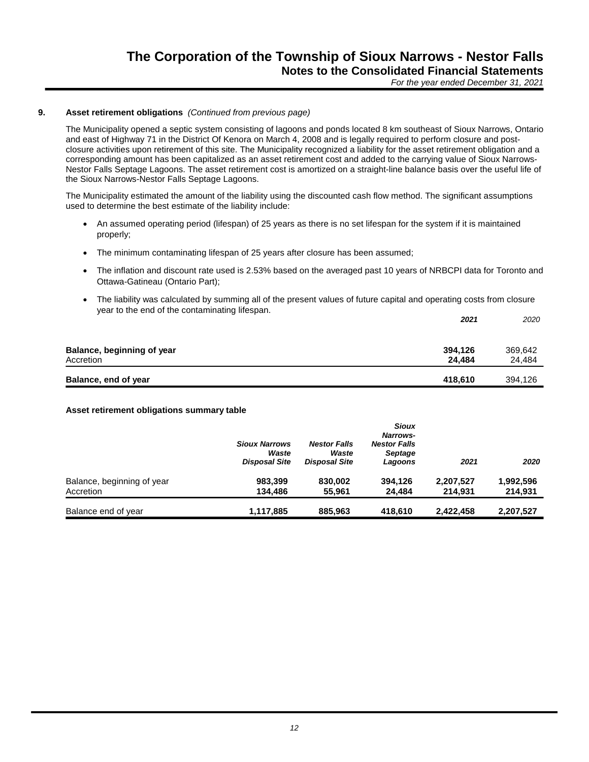**Notes to the Consolidated Financial Statements**

*For the year ended December 31, 2021*

## **9. Asset retirement obligations** *(Continued from previous page)*

The Municipality opened a septic system consisting of lagoons and ponds located 8 km southeast of Sioux Narrows, Ontario and east of Highway 71 in the District Of Kenora on March 4, 2008 and is legally required to perform closure and postclosure activities upon retirement of this site. The Municipality recognized a liability for the asset retirement obligation and a corresponding amount has been capitalized as an asset retirement cost and added to the carrying value of Sioux Narrows-Nestor Falls Septage Lagoons. The asset retirement cost is amortized on a straight-line balance basis over the useful life of the Sioux Narrows-Nestor Falls Septage Lagoons.

The Municipality estimated the amount of the liability using the discounted cash flow method. The significant assumptions used to determine the best estimate of the liability include:

- An assumed operating period (lifespan) of 25 years as there is no set lifespan for the system if it is maintained properly;
- The minimum contaminating lifespan of 25 years after closure has been assumed;
- The inflation and discount rate used is 2.53% based on the averaged past 10 years of NRBCPI data for Toronto and Ottawa-Gatineau (Ontario Part);
- The liability was calculated by summing all of the present values of future capital and operating costs from closure year to the end of the contaminating lifespan.

|                                         | 2021              | 2020              |
|-----------------------------------------|-------------------|-------------------|
| Balance, beginning of year<br>Accretion | 394,126<br>24.484 | 369,642<br>24,484 |
| Balance, end of year                    | 418,610           | 394,126           |

## **Asset retirement obligations summary table**

|                            | <b>Sioux Narrows</b><br>Waste<br><b>Disposal Site</b> | <b>Nestor Falls</b><br>Waste<br><b>Disposal Site</b> | <b>Sioux</b><br><b>Narrows-</b><br><b>Nestor Falls</b><br>Septage<br>Lagoons | 2021      | 2020      |
|----------------------------|-------------------------------------------------------|------------------------------------------------------|------------------------------------------------------------------------------|-----------|-----------|
| Balance, beginning of year | 983,399                                               | 830,002                                              | 394.126                                                                      | 2,207,527 | 1,992,596 |
| Accretion                  | 134.486                                               | 55.961                                               | 24.484                                                                       | 214.931   | 214,931   |
| Balance end of year        | 1,117,885                                             | 885,963                                              | 418.610                                                                      | 2,422,458 | 2,207,527 |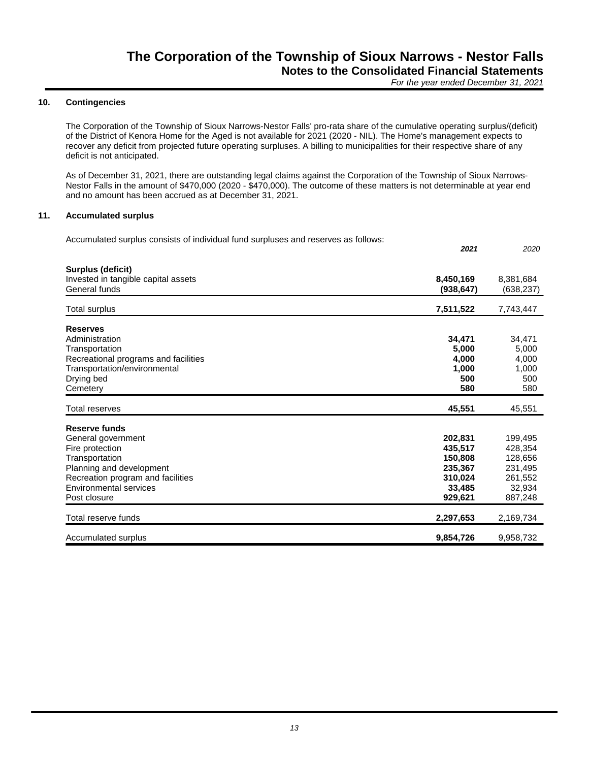**Notes to the Consolidated Financial Statements**

*For the year ended December 31, 2021*

## **10. Contingencies**

The Corporation of the Township of Sioux Narrows-Nestor Falls' pro-rata share of the cumulative operating surplus/(deficit) of the District of Kenora Home for the Aged is not available for 2021 (2020 - NIL). The Home's management expects to recover any deficit from projected future operating surpluses. A billing to municipalities for their respective share of any deficit is not anticipated.

As of December 31, 2021, there are outstanding legal claims against the Corporation of the Township of Sioux Narrows-Nestor Falls in the amount of \$470,000 (2020 - \$470,000). The outcome of these matters is not determinable at year end and no amount has been accrued as at December 31, 2021.

#### **11. Accumulated surplus**

| Accumulated surplus consists of individual fund surpluses and reserves as follows: | 2021       | 2020      |
|------------------------------------------------------------------------------------|------------|-----------|
| <b>Surplus (deficit)</b><br>Invested in tangible capital assets                    | 8,450,169  | 8,381,684 |
| General funds                                                                      | (938, 647) | (638,237) |
| Total surplus                                                                      | 7,511,522  | 7,743,447 |
| <b>Reserves</b>                                                                    |            |           |
| Administration                                                                     | 34,471     | 34,471    |
| Transportation                                                                     | 5,000      | 5,000     |
| Recreational programs and facilities                                               | 4,000      | 4,000     |
| Transportation/environmental                                                       | 1,000      | 1,000     |
| Drying bed                                                                         | 500        | 500       |
| Cemetery                                                                           | 580        | 580       |
| Total reserves                                                                     | 45,551     | 45,551    |
| <b>Reserve funds</b>                                                               |            |           |
| General government                                                                 | 202,831    | 199,495   |
| Fire protection                                                                    | 435.517    | 428,354   |
| Transportation                                                                     | 150,808    | 128,656   |
| Planning and development                                                           | 235,367    | 231,495   |
| Recreation program and facilities                                                  | 310,024    | 261,552   |
| Environmental services                                                             | 33,485     | 32,934    |
| Post closure                                                                       | 929,621    | 887,248   |
| Total reserve funds                                                                | 2,297,653  | 2,169,734 |
| Accumulated surplus                                                                | 9,854,726  | 9,958,732 |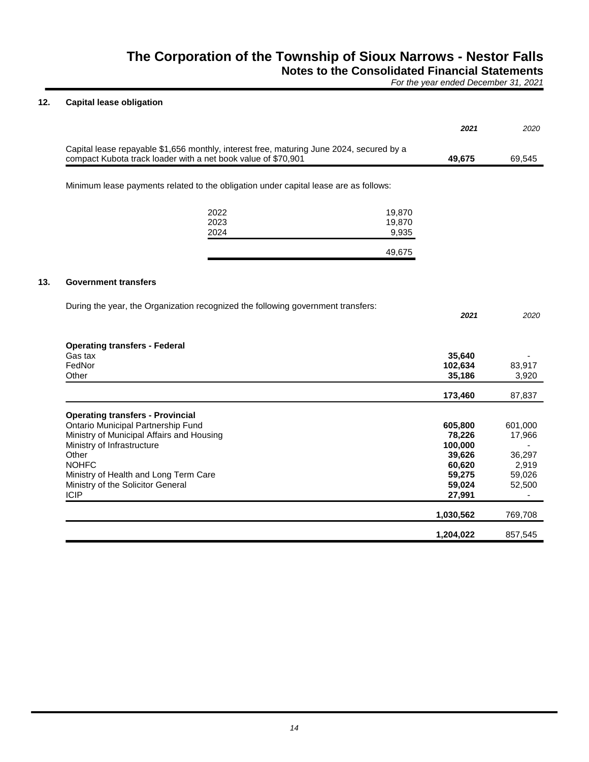## **12. Capital lease obligation**

**13.** 

|                                                                                                               |                                                                                                                                                           |                  | 2021              | 2020                                                                                                     |
|---------------------------------------------------------------------------------------------------------------|-----------------------------------------------------------------------------------------------------------------------------------------------------------|------------------|-------------------|----------------------------------------------------------------------------------------------------------|
|                                                                                                               | Capital lease repayable \$1,656 monthly, interest free, maturing June 2024, secured by a<br>compact Kubota track loader with a net book value of \$70,901 |                  |                   |                                                                                                          |
|                                                                                                               |                                                                                                                                                           |                  | 49,675            | 69,545                                                                                                   |
|                                                                                                               | Minimum lease payments related to the obligation under capital lease are as follows:                                                                      |                  |                   |                                                                                                          |
|                                                                                                               | 2022                                                                                                                                                      |                  |                   |                                                                                                          |
|                                                                                                               | 2023                                                                                                                                                      | 19,870<br>19,870 |                   |                                                                                                          |
|                                                                                                               | 2024                                                                                                                                                      | 9,935            |                   |                                                                                                          |
|                                                                                                               |                                                                                                                                                           | 49,675           |                   |                                                                                                          |
|                                                                                                               |                                                                                                                                                           |                  |                   |                                                                                                          |
| <b>Government transfers</b>                                                                                   |                                                                                                                                                           |                  |                   |                                                                                                          |
|                                                                                                               | During the year, the Organization recognized the following government transfers:                                                                          |                  |                   |                                                                                                          |
|                                                                                                               |                                                                                                                                                           |                  | 2021              |                                                                                                          |
|                                                                                                               |                                                                                                                                                           |                  |                   |                                                                                                          |
|                                                                                                               |                                                                                                                                                           |                  |                   |                                                                                                          |
|                                                                                                               |                                                                                                                                                           |                  | 35,640<br>102,634 |                                                                                                          |
| <b>Operating transfers - Federal</b><br>Gas tax<br>FedNor<br>Other                                            |                                                                                                                                                           |                  | 35,186            |                                                                                                          |
|                                                                                                               |                                                                                                                                                           |                  | 173,460           |                                                                                                          |
| <b>Operating transfers - Provincial</b>                                                                       |                                                                                                                                                           |                  |                   |                                                                                                          |
|                                                                                                               |                                                                                                                                                           |                  | 605,800           |                                                                                                          |
|                                                                                                               |                                                                                                                                                           |                  | 78,226            |                                                                                                          |
| Ontario Municipal Partnership Fund<br>Ministry of Municipal Affairs and Housing<br>Ministry of Infrastructure |                                                                                                                                                           |                  | 100,000           |                                                                                                          |
| Other                                                                                                         |                                                                                                                                                           |                  | 39,626            |                                                                                                          |
| <b>NOHFC</b>                                                                                                  |                                                                                                                                                           |                  | 60,620            |                                                                                                          |
| Ministry of Health and Long Term Care                                                                         |                                                                                                                                                           |                  | 59,275            |                                                                                                          |
| Ministry of the Solicitor General                                                                             |                                                                                                                                                           |                  | 59,024            |                                                                                                          |
|                                                                                                               |                                                                                                                                                           |                  | 27,991            |                                                                                                          |
| <b>ICIP</b>                                                                                                   |                                                                                                                                                           |                  | 1,030,562         | 2020<br>83,917<br>3,920<br>87,837<br>601,000<br>17,966<br>36,297<br>2,919<br>59,026<br>52,500<br>769,708 |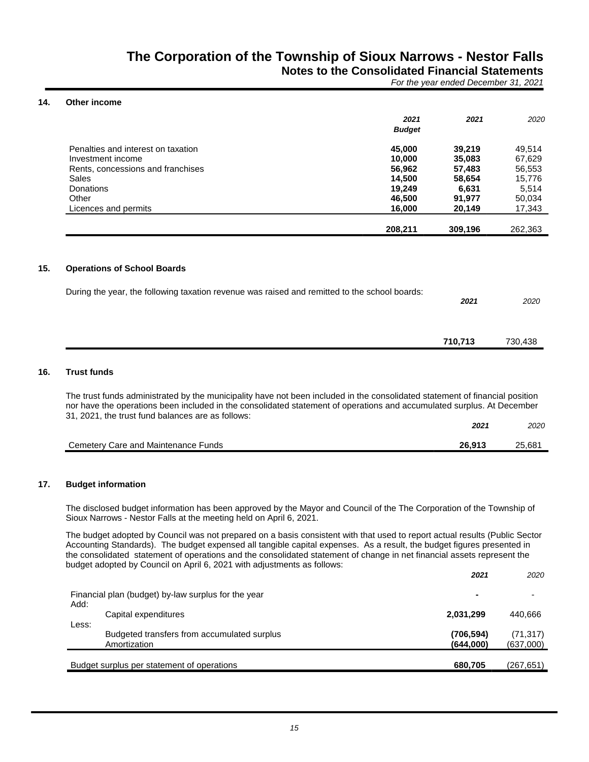#### **14. Other income**

|                                    | 2021<br><b>Budget</b> | 2021    | 2020    |
|------------------------------------|-----------------------|---------|---------|
| Penalties and interest on taxation | 45,000                | 39.219  | 49.514  |
| Investment income                  | 10,000                | 35,083  | 67,629  |
| Rents, concessions and franchises  | 56,962                | 57,483  | 56,553  |
| Sales                              | 14,500                | 58.654  | 15,776  |
| Donations                          | 19.249                | 6.631   | 5.514   |
| Other                              | 46.500                | 91.977  | 50,034  |
| Licences and permits               | 16,000                | 20,149  | 17,343  |
|                                    | 208.211               | 309.196 | 262.363 |

#### **15. Operations of School Boards**

| During the year, the following taxation revenue was raised and remitted to the school boards: | 2021    | 2020    |
|-----------------------------------------------------------------------------------------------|---------|---------|
|                                                                                               | 710,713 | 730,438 |

## **16. Trust funds**

The trust funds administrated by the municipality have not been included in the consolidated statement of financial position nor have the operations been included in the consolidated statement of operations and accumulated surplus. At December 31, 2021, the trust fund balances are as follows:

|                                     | 202′   | 2020   |
|-------------------------------------|--------|--------|
| Cemetery Care and Maintenance Funds | 26.913 | 25.681 |

## **17. Budget information**

The disclosed budget information has been approved by the Mayor and Council of the The Corporation of the Township of Sioux Narrows - Nestor Falls at the meeting held on April 6, 2021.

The budget adopted by Council was not prepared on a basis consistent with that used to report actual results (Public Sector Accounting Standards). The budget expensed all tangible capital expenses. As a result, the budget figures presented in the consolidated statement of operations and the consolidated statement of change in net financial assets represent the budget adopted by Council on April 6, 2021 with adjustments as follows:

|       |                                                             | 2021                    | 2020                   |
|-------|-------------------------------------------------------------|-------------------------|------------------------|
| Add:  | Financial plan (budget) by-law surplus for the year         |                         |                        |
| Less: | Capital expenditures                                        | 2,031,299               | 440,666                |
|       | Budgeted transfers from accumulated surplus<br>Amortization | (706, 594)<br>(644,000) | (71, 317)<br>(637,000) |
|       | Budget surplus per statement of operations                  | 680,705                 | (267,651)              |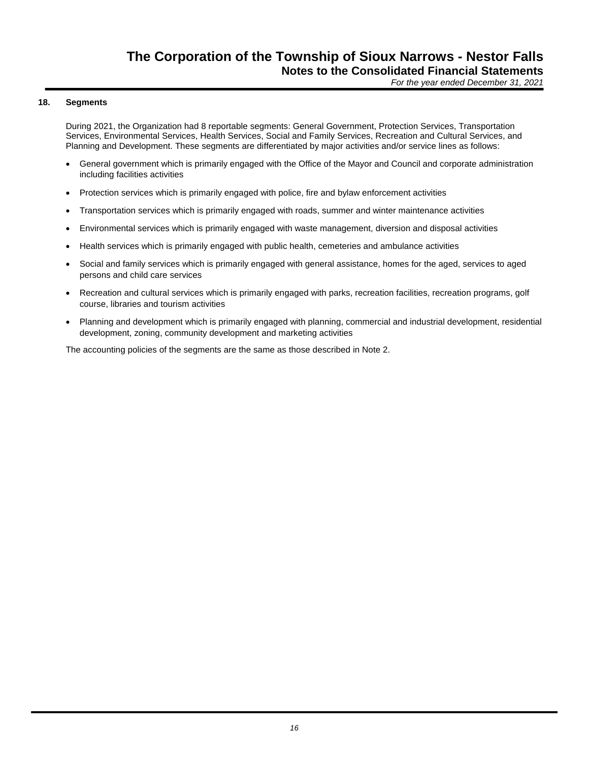**Notes to the Consolidated Financial Statements**

## *For the year ended December 31, 2021*

### **18. Segments**

During 2021, the Organization had 8 reportable segments: General Government, Protection Services, Transportation Services, Environmental Services, Health Services, Social and Family Services, Recreation and Cultural Services, and Planning and Development. These segments are differentiated by major activities and/or service lines as follows:

- General government which is primarily engaged with the Office of the Mayor and Council and corporate administration including facilities activities
- Protection services which is primarily engaged with police, fire and bylaw enforcement activities
- Transportation services which is primarily engaged with roads, summer and winter maintenance activities
- Environmental services which is primarily engaged with waste management, diversion and disposal activities
- Health services which is primarily engaged with public health, cemeteries and ambulance activities
- Social and family services which is primarily engaged with general assistance, homes for the aged, services to aged persons and child care services
- Recreation and cultural services which is primarily engaged with parks, recreation facilities, recreation programs, golf course, libraries and tourism activities
- Planning and development which is primarily engaged with planning, commercial and industrial development, residential development, zoning, community development and marketing activities

The accounting policies of the segments are the same as those described in Note 2.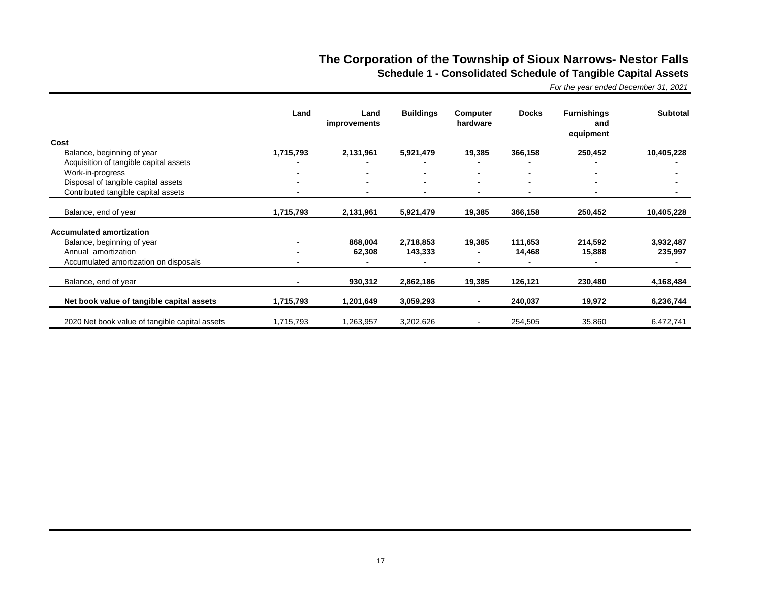**Schedule 1 - Consolidated Schedule of Tangible Capital Assets**

|                                                | Land      | Land<br>improvements | <b>Buildings</b> | Computer<br>hardware | <b>Docks</b> | <b>Furnishings</b><br>and<br>equipment | <b>Subtotal</b> |
|------------------------------------------------|-----------|----------------------|------------------|----------------------|--------------|----------------------------------------|-----------------|
| Cost                                           |           |                      |                  |                      |              |                                        |                 |
| Balance, beginning of year                     | 1,715,793 | 2,131,961            | 5,921,479        | 19,385               | 366,158      | 250,452                                | 10,405,228      |
| Acquisition of tangible capital assets         |           |                      |                  |                      |              |                                        |                 |
| Work-in-progress                               |           |                      |                  |                      |              |                                        |                 |
| Disposal of tangible capital assets            |           |                      |                  |                      |              |                                        |                 |
| Contributed tangible capital assets            |           |                      |                  |                      |              |                                        |                 |
| Balance, end of year                           | 1,715,793 | 2,131,961            | 5,921,479        | 19,385               | 366,158      | 250,452                                | 10,405,228      |
| <b>Accumulated amortization</b>                |           |                      |                  |                      |              |                                        |                 |
| Balance, beginning of year                     |           | 868,004              | 2,718,853        | 19,385               | 111,653      | 214,592                                | 3,932,487       |
| Annual amortization                            |           | 62,308               | 143,333          |                      | 14,468       | 15,888                                 | 235,997         |
| Accumulated amortization on disposals          |           |                      |                  |                      |              |                                        |                 |
| Balance, end of year                           |           | 930,312              | 2,862,186        | 19,385               | 126,121      | 230,480                                | 4,168,484       |
| Net book value of tangible capital assets      | 1,715,793 | 1,201,649            | 3,059,293        |                      | 240,037      | 19,972                                 | 6,236,744       |
| 2020 Net book value of tangible capital assets | 1,715,793 | 1,263,957            | 3,202,626        |                      | 254,505      | 35,860                                 | 6,472,741       |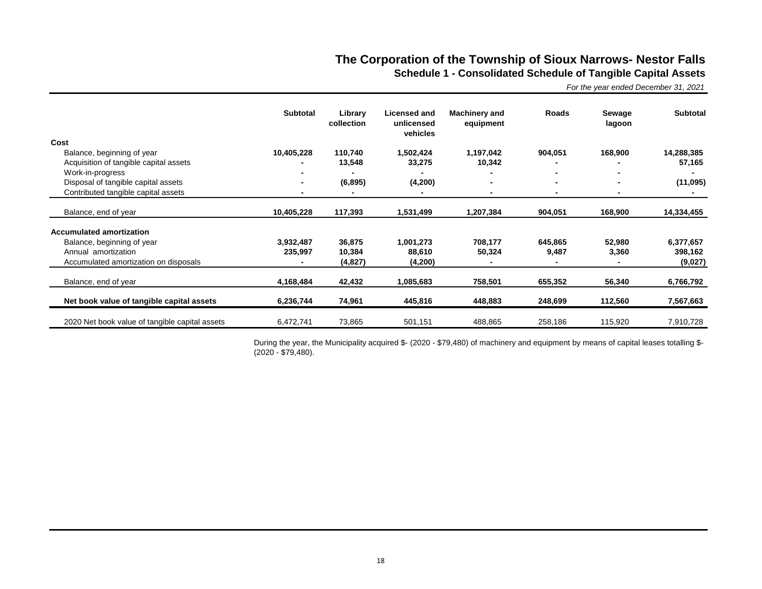**Schedule 1 - Consolidated Schedule of Tangible Capital Assets**

*For the year ended December 31, 2021*

|                                                | <b>Subtotal</b> | Library<br>collection | Licensed and<br>unlicensed<br>vehicles | <b>Machinery and</b><br>equipment | Roads   | Sewage<br>lagoon | <b>Subtotal</b> |
|------------------------------------------------|-----------------|-----------------------|----------------------------------------|-----------------------------------|---------|------------------|-----------------|
| Cost                                           |                 |                       |                                        |                                   |         |                  |                 |
| Balance, beginning of year                     | 10,405,228      | 110,740               | 1,502,424                              | 1,197,042                         | 904,051 | 168,900          | 14,288,385      |
| Acquisition of tangible capital assets         |                 | 13,548                | 33,275                                 | 10,342                            |         |                  | 57,165          |
| Work-in-progress                               |                 |                       |                                        |                                   |         |                  |                 |
| Disposal of tangible capital assets            |                 | (6,895)               | (4,200)                                |                                   |         |                  | (11,095)        |
| Contributed tangible capital assets            |                 |                       |                                        |                                   |         |                  |                 |
| Balance, end of year                           | 10,405,228      | 117,393               | 1,531,499                              | 1,207,384                         | 904,051 | 168,900          | 14,334,455      |
| <b>Accumulated amortization</b>                |                 |                       |                                        |                                   |         |                  |                 |
| Balance, beginning of year                     | 3,932,487       | 36,875                | 1,001,273                              | 708,177                           | 645,865 | 52,980           | 6,377,657       |
| Annual amortization                            | 235,997         | 10,384                | 88,610                                 | 50,324                            | 9,487   | 3,360            | 398,162         |
| Accumulated amortization on disposals          |                 | (4,827)               | (4,200)                                |                                   |         |                  | (9,027)         |
| Balance, end of year                           | 4,168,484       | 42,432                | 1,085,683                              | 758,501                           | 655,352 | 56,340           | 6,766,792       |
| Net book value of tangible capital assets      | 6,236,744       | 74,961                | 445,816                                | 448,883                           | 248,699 | 112,560          | 7,567,663       |
| 2020 Net book value of tangible capital assets | 6,472,741       | 73,865                | 501,151                                | 488,865                           | 258,186 | 115,920          | 7,910,728       |

During the year, the Municipality acquired \$- (2020 - \$79,480) of machinery and equipment by means of capital leases totalling \$- (2020 - \$79,480).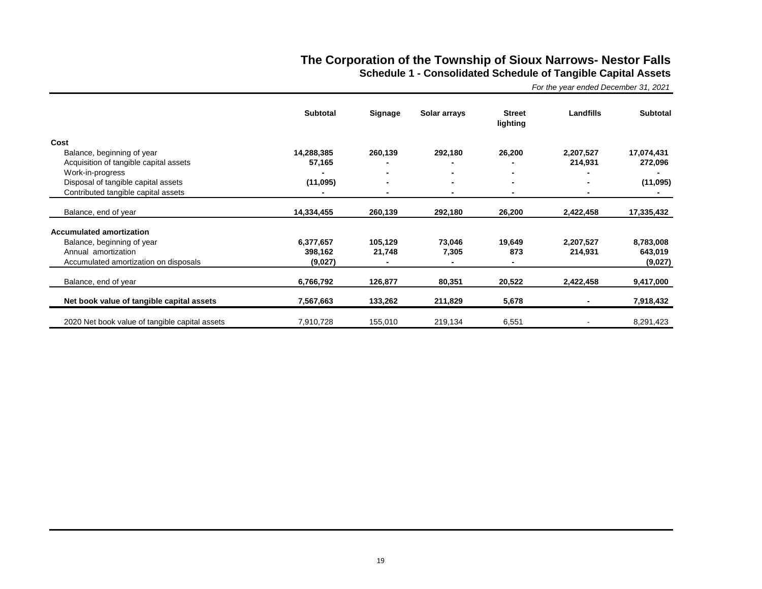**Schedule 1 - Consolidated Schedule of Tangible Capital Assets**

|                                                | <b>Subtotal</b> | Signage | Solar arrays | <b>Street</b><br>lighting | Landfills      | <b>Subtotal</b> |
|------------------------------------------------|-----------------|---------|--------------|---------------------------|----------------|-----------------|
| Cost                                           |                 |         |              |                           |                |                 |
| Balance, beginning of year                     | 14,288,385      | 260,139 | 292,180      | 26,200                    | 2,207,527      | 17,074,431      |
| Acquisition of tangible capital assets         | 57,165          |         |              |                           | 214,931        | 272,096         |
| Work-in-progress                               |                 |         |              | ۰                         |                |                 |
| Disposal of tangible capital assets            | (11,095)        |         | ٠            | ۰                         | $\blacksquare$ | (11,095)        |
| Contributed tangible capital assets            |                 |         |              |                           |                |                 |
| Balance, end of year                           | 14,334,455      | 260,139 | 292,180      | 26,200                    | 2,422,458      | 17,335,432      |
| <b>Accumulated amortization</b>                |                 |         |              |                           |                |                 |
| Balance, beginning of year                     | 6,377,657       | 105,129 | 73,046       | 19,649                    | 2,207,527      | 8,783,008       |
| Annual amortization                            | 398,162         | 21,748  | 7,305        | 873                       | 214,931        | 643,019         |
| Accumulated amortization on disposals          | (9,027)         |         | ۰            |                           |                | (9,027)         |
| Balance, end of year                           | 6,766,792       | 126,877 | 80,351       | 20,522                    | 2,422,458      | 9,417,000       |
| Net book value of tangible capital assets      | 7,567,663       | 133,262 | 211,829      | 5,678                     |                | 7,918,432       |
| 2020 Net book value of tangible capital assets | 7,910,728       | 155,010 | 219,134      | 6,551                     |                | 8,291,423       |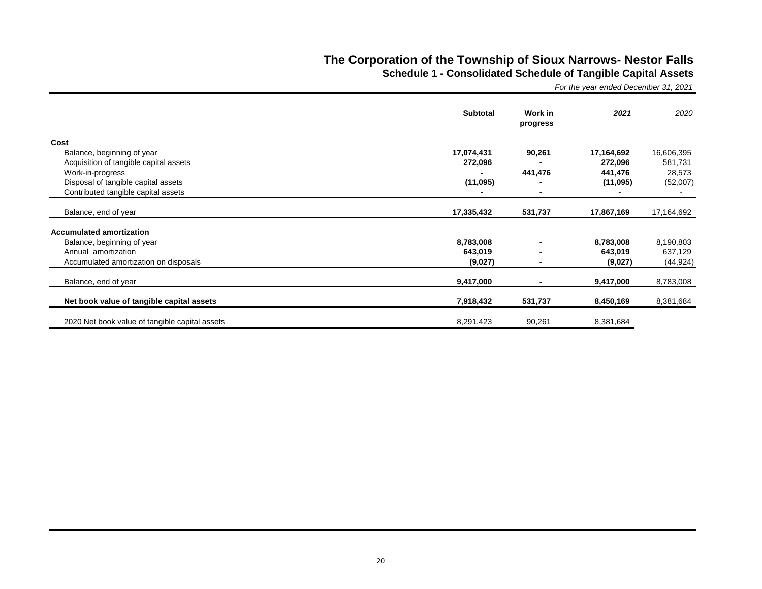## **Schedule 1 - Consolidated Schedule of Tangible Capital Assets**

|                                                | <b>Subtotal</b> | Work in<br>progress | 2021       | 2020       |
|------------------------------------------------|-----------------|---------------------|------------|------------|
| Cost                                           |                 |                     |            |            |
| Balance, beginning of year                     | 17,074,431      | 90,261              | 17,164,692 | 16,606,395 |
| Acquisition of tangible capital assets         | 272,096         |                     | 272,096    | 581,731    |
| Work-in-progress                               |                 | 441,476             | 441,476    | 28,573     |
| Disposal of tangible capital assets            | (11,095)        |                     | (11,095)   | (52,007)   |
| Contributed tangible capital assets            |                 |                     |            |            |
| Balance, end of year                           | 17,335,432      | 531,737             | 17,867,169 | 17,164,692 |
| <b>Accumulated amortization</b>                |                 |                     |            |            |
| Balance, beginning of year                     | 8,783,008       |                     | 8,783,008  | 8,190,803  |
| Annual amortization                            | 643,019         |                     | 643,019    | 637,129    |
| Accumulated amortization on disposals          | (9,027)         |                     | (9,027)    | (44, 924)  |
| Balance, end of year                           | 9,417,000       |                     | 9,417,000  | 8,783,008  |
| Net book value of tangible capital assets      | 7,918,432       | 531,737             | 8,450,169  | 8,381,684  |
| 2020 Net book value of tangible capital assets | 8,291,423       | 90,261              | 8,381,684  |            |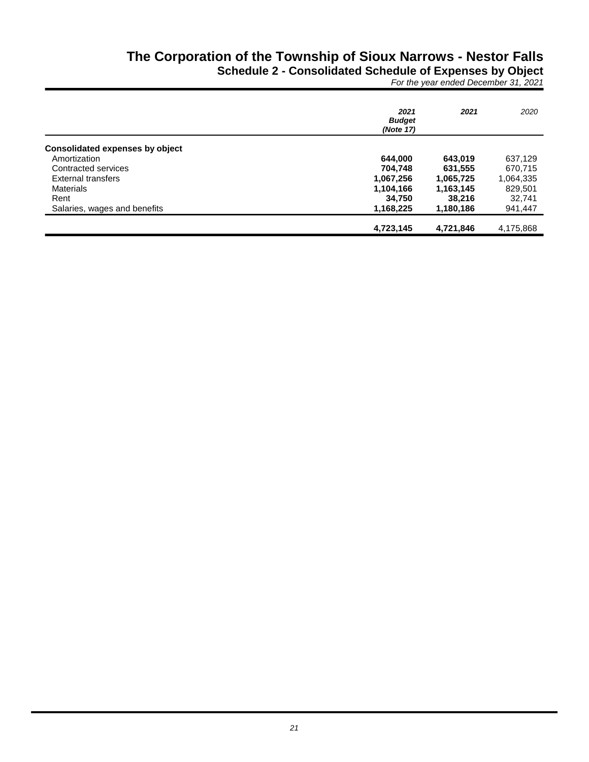## **Schedule 2 - Consolidated Schedule of Expenses by Object**

|                                 | 2021<br><b>Budget</b><br>(Note 17) | 2021      | 2020      |  |
|---------------------------------|------------------------------------|-----------|-----------|--|
| Consolidated expenses by object |                                    |           |           |  |
| Amortization                    | 644,000                            | 643,019   | 637,129   |  |
| Contracted services             | 704.748                            | 631,555   | 670,715   |  |
| External transfers              | 1,067,256                          | 1,065,725 | 1,064,335 |  |
| <b>Materials</b>                | 1,104,166                          | 1,163,145 | 829,501   |  |
| Rent                            | 34.750                             | 38.216    | 32.741    |  |
| Salaries, wages and benefits    | 1,168,225                          | 1,180,186 | 941,447   |  |
|                                 | 4,723,145                          | 4,721,846 | 4,175,868 |  |